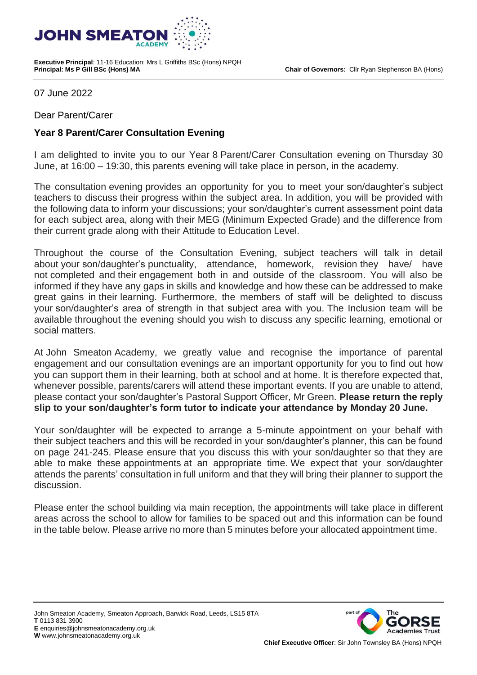**Chair of Governors:** Cllr Ryan Stephenson BA (Hons)



**Executive Principal**: 11-16 Education: Mrs L Griffiths BSc (Hons) NPQH

07 June 2022

Dear Parent/Carer

## **Year 8 Parent/Carer Consultation Evening**

I am delighted to invite you to our Year 8 Parent/Carer Consultation evening on Thursday 30 June, at 16:00 – 19:30, this parents evening will take place in person, in the academy.

The consultation evening provides an opportunity for you to meet your son/daughter's subject teachers to discuss their progress within the subject area. In addition, you will be provided with the following data to inform your discussions; your son/daughter's current assessment point data for each subject area, along with their MEG (Minimum Expected Grade) and the difference from their current grade along with their Attitude to Education Level.

Throughout the course of the Consultation Evening, subject teachers will talk in detail about your son/daughter's punctuality, attendance, homework, revision they have/ have not completed and their engagement both in and outside of the classroom. You will also be informed if they have any gaps in skills and knowledge and how these can be addressed to make great gains in their learning. Furthermore, the members of staff will be delighted to discuss your son/daughter's area of strength in that subject area with you. The Inclusion team will be available throughout the evening should you wish to discuss any specific learning, emotional or social matters.

At John Smeaton Academy, we greatly value and recognise the importance of parental engagement and our consultation evenings are an important opportunity for you to find out how you can support them in their learning, both at school and at home. It is therefore expected that, whenever possible, parents/carers will attend these important events. If you are unable to attend, please contact your son/daughter's Pastoral Support Officer, Mr Green. **Please return the reply slip to your son/daughter's form tutor to indicate your attendance by Monday 20 June.**

Your son/daughter will be expected to arrange a 5-minute appointment on your behalf with their subject teachers and this will be recorded in your son/daughter's planner, this can be found on page 241-245. Please ensure that you discuss this with your son/daughter so that they are able to make these appointments at an appropriate time. We expect that your son/daughter attends the parents' consultation in full uniform and that they will bring their planner to support the discussion.

Please enter the school building via main reception, the appointments will take place in different areas across the school to allow for families to be spaced out and this information can be found in the table below. Please arrive no more than 5 minutes before your allocated appointment time.

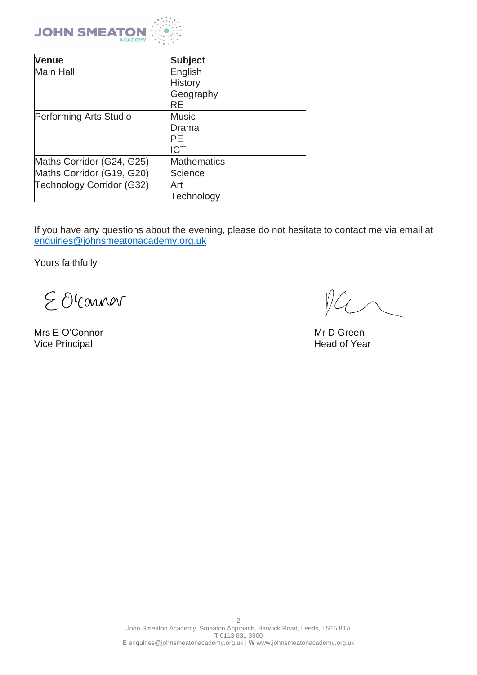

| <b>Venue</b>              | <b>Subject</b>     |
|---------------------------|--------------------|
| <b>Main Hall</b>          | English            |
|                           | <b>History</b>     |
|                           | Geography          |
|                           | RE                 |
| Performing Arts Studio    | <b>Music</b>       |
|                           | Drama              |
|                           | PF                 |
|                           | ICT                |
| Maths Corridor (G24, G25) | <b>Mathematics</b> |
| Maths Corridor (G19, G20) | Science            |
| Technology Corridor (G32) | Art                |
|                           | Technology         |

If you have any questions about the evening, please do not hesitate to contact me via email at [enquiries@johnsmeatonacademy.org.uk](https://johnsmeatonacademy-my.sharepoint.com/personal/huddlestonea01_johnsmeatonacademy_org_uk/Documents/SLT/Enrichment++/enquiries@johnsmeatonacademy.org.uk)

Yours faithfully

EOCOMMON

Mrs E O'Connor November 2012 1999 Mrs E O'Connor Nice Principal Assemblance Connor Connor New York 2013 1999 Mrs E O'Connor New York 2013 1999 Mrs E O'Connor Nice Principal Assemblance Connor New York 2013 1999 Mrs E O'Con Vice Principal

 $4$